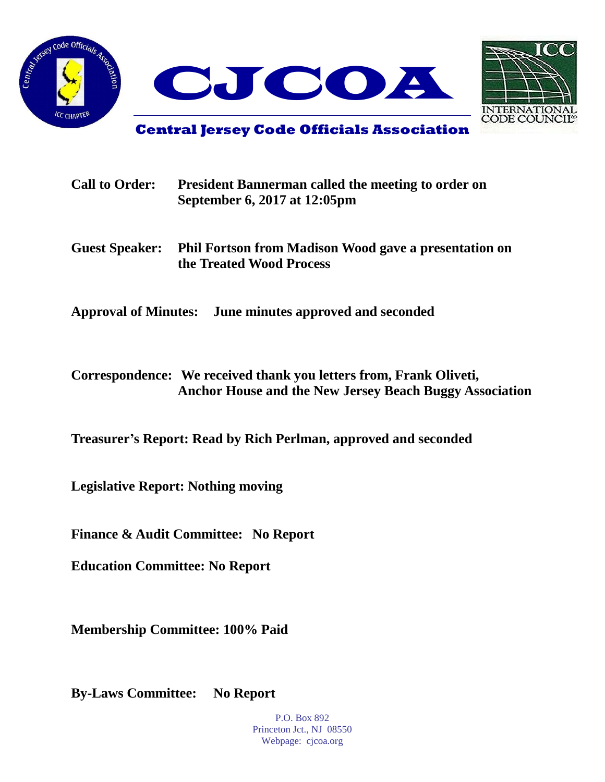



**Central Jersey Code Officials Association**

| <b>Call to Order:</b> | <b>President Bannerman called the meeting to order on</b><br>September 6, 2017 at 12:05pm |  |  |  |
|-----------------------|-------------------------------------------------------------------------------------------|--|--|--|
| <b>Guest Speaker:</b> | <b>Phil Fortson from Madison Wood gave a presentation on</b><br>the Treated Wood Process  |  |  |  |
|                       | Approval of Minutes: June minutes approved and seconded                                   |  |  |  |

**Correspondence: We received thank you letters from, Frank Oliveti, Anchor House and the New Jersey Beach Buggy Association**

**Treasurer's Report: Read by Rich Perlman, approved and seconded**

**Legislative Report: Nothing moving**

**Finance & Audit Committee: No Report**

**Education Committee: No Report**

**Membership Committee: 100% Paid**

**By-Laws Committee: No Report**

P.O. Box 892 Princeton Jct., NJ 08550 Webpage: cjcoa.org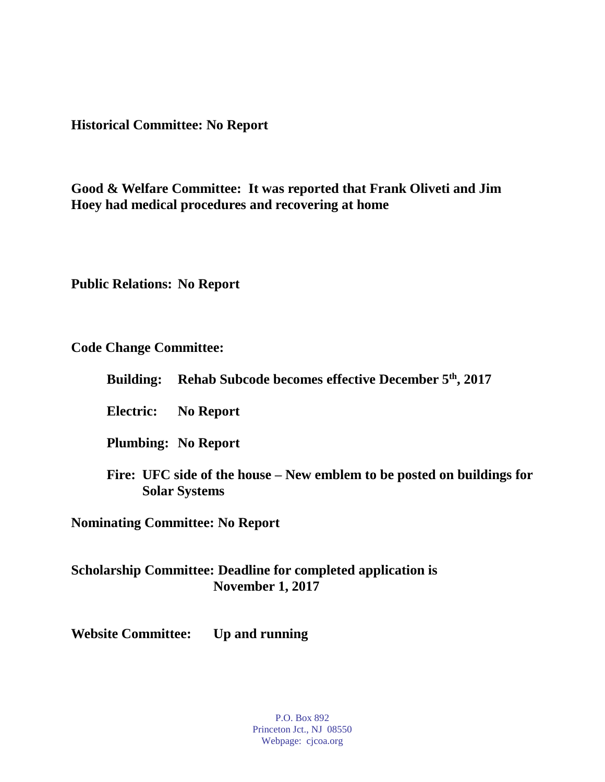**Historical Committee: No Report**

**Good & Welfare Committee: It was reported that Frank Oliveti and Jim Hoey had medical procedures and recovering at home**

**Public Relations: No Report**

**Code Change Committee:**

|  | Building: Rehab Subcode becomes effective December 5 <sup>th</sup> , 2017 |  |  |  |  |  |
|--|---------------------------------------------------------------------------|--|--|--|--|--|
|--|---------------------------------------------------------------------------|--|--|--|--|--|

**Electric: No Report**

**Plumbing: No Report**

**Fire: UFC side of the house – New emblem to be posted on buildings for Solar Systems**

**Nominating Committee: No Report**

## **Scholarship Committee: Deadline for completed application is November 1, 2017**

**Website Committee: Up and running**

P.O. Box 892 Princeton Jct., NJ 08550 Webpage: cjcoa.org